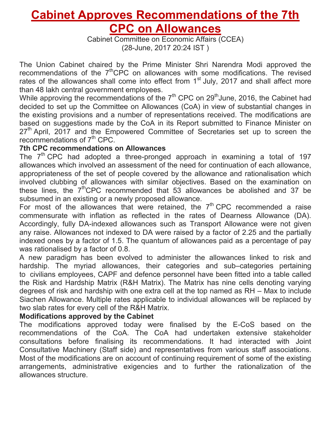# **Cabinet Approves Recommendations of the 7th CPC on Allowances**

Cabinet Committee on Economic Affairs (CCEA) (28-June, 2017 20:24 IST )

The Union Cabinet chaired by the Prime Minister Shri Narendra Modi approved the recommendations of the 7<sup>th</sup>CPC on allowances with some modifications. The revised rates of the allowances shall come into effect from  $1<sup>st</sup>$  July, 2017 and shall affect more than 48 lakh central government employees.

While approving the recommendations of the  $7<sup>th</sup>$  CPC on 29<sup>th</sup> June, 2016, the Cabinet had decided to set up the Committee on Allowances (CoA) in view of substantial changes in the existing provisions and a number of representations received. The modifications are based on suggestions made by the CoA in its Report submitted to Finance Minister on  $27<sup>th</sup>$  April, 2017 and the Empowered Committee of Secretaries set up to screen the recommendations of  $7<sup>th</sup>$  CPC.

# **7th CPC recommendations on Allowances**

The 7<sup>th</sup> CPC had adopted a three-pronged approach in examining a total of 197 allowances which involved an assessment of the need for continuation of each allowance, appropriateness of the set of people covered by the allowance and rationalisation which involved clubbing of allowances with similar objectives. Based on the examination on these lines, the  $7<sup>th</sup>$ CPC recommended that 53 allowances be abolished and 37 be subsumed in an existing or a newly proposed allowance.

For most of the allowances that were retained, the  $7<sup>th</sup>$  CPC recommended a raise commensurate with inflation as reflected in the rates of Dearness Allowance (DA). Accordingly, fully DA-indexed allowances such as Transport Allowance were not given any raise. Allowances not indexed to DA were raised by a factor of 2.25 and the partially indexed ones by a factor of 1.5. The quantum of allowances paid as a percentage of pay was rationalised by a factor of 0.8.

A new paradigm has been evolved to administer the allowances linked to risk and hardship. The myriad allowances, their categories and sub–categories pertaining to civilians employees, CAPF and defence personnel have been fitted into a table called the Risk and Hardship Matrix (R&H Matrix). The Matrix has nine cells denoting varying degrees of risk and hardship with one extra cell at the top named as RH – Max to include Siachen Allowance. Multiple rates applicable to individual allowances will be replaced by two slab rates for every cell of the R&H Matrix.

## **Modifications approved by the Cabinet**

The modifications approved today were finalised by the E-CoS based on the recommendations of the CoA. The CoA had undertaken extensive stakeholder consultations before finalising its recommendations. It had interacted with Joint Consultative Machinery (Staff side) and representatives from various staff associations. Most of the modifications are on account of continuing requirement of some of the existing arrangements, administrative exigencies and to further the rationalization of the allowances structure.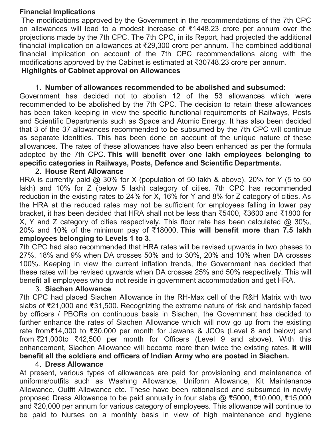## **Financial Implications**

The modifications approved by the Government in the recommendations of the 7th CPC on allowances will lead to a modest increase of ₹1448.23 crore per annum over the projections made by the 7th CPC. The 7th CPC, in its Report, had projected the additional financial implication on allowances at ₹29,300 crore per annum. The combined additional financial implication on account of the 7th CPC recommendations along with the modifications approved by the Cabinet is estimated at ₹30748.23 crore per annum. **Highlights of Cabinet approval on Allowances**

## 1. **Number of allowances recommended to be abolished and subsumed:**

Government has decided not to abolish 12 of the 53 allowances which were recommended to be abolished by the 7th CPC. The decision to retain these allowances has been taken keeping in view the specific functional requirements of Railways, Posts and Scientific Departments such as Space and Atomic Energy. It has also been decided that 3 of the 37 allowances recommended to be subsumed by the 7th CPC will continue as separate identities. This has been done on account of the unique nature of these allowances. The rates of these allowances have also been enhanced as per the formula adopted by the 7th CPC. **This will benefit over one lakh employees belonging to specific categories in Railways, Posts, Defence and Scientific Departments.**

## 2. **House Rent Allowance**

HRA is currently paid @ 30% for X (population of 50 lakh & above), 20% for Y (5 to 50 lakh) and 10% for Z (below 5 lakh) category of cities. 7th CPC has recommended reduction in the existing rates to 24% for X, 16% for Y and 8% for Z category of cities. As the HRA at the reduced rates may not be sufficient for employees falling in lower pay bracket, it has been decided that HRA shall not be less than ₹5400, ₹3600 and ₹1800 for X, Y and Z category of cities respectively. This floor rate has been calculated @ 30%, 20% and 10% of the minimum pay of ₹18000. **This will benefit more than 7.5 lakh employees belonging to Levels 1 to 3.**

7th CPC had also recommended that HRA rates will be revised upwards in two phases to 27%, 18% and 9% when DA crosses 50% and to 30%, 20% and 10% when DA crosses 100%. Keeping in view the current inflation trends, the Government has decided that these rates will be revised upwards when DA crosses 25% and 50% respectively. This will benefit all employees who do not reside in government accommodation and get HRA.

## 3. **Siachen Allowance**

7th CPC had placed Siachen Allowance in the RH-Max cell of the R&H Matrix with two slabs of ₹21,000 and ₹31,500. Recognizing the extreme nature of risk and hardship faced by officers / PBORs on continuous basis in Siachen, the Government has decided to further enhance the rates of Siachen Allowance which will now go up from the existing rate from*₹*14,000 to ₹30,000 per month for Jawans & JCOs (Level 8 and below) and from *₹*21,000to ₹42,500 per month for Officers (Level 9 and above). With this enhancement, Siachen Allowance will become more than twice the existing rates. **It will benefit all the soldiers and officers of Indian Army who are posted in Siachen.**

#### 4. **Dress Allowance**

At present, various types of allowances are paid for provisioning and maintenance of uniforms/outfits such as Washing Allowance, Uniform Allowance, Kit Maintenance Allowance, Outfit Allowance etc. These have been rationalised and subsumed in newly proposed Dress Allowance to be paid annually in four slabs @ ₹5000, ₹10,000, ₹15,000 and ₹20,000 per annum for various category of employees. This allowance will continue to be paid to Nurses on a monthly basis in view of high maintenance and hygiene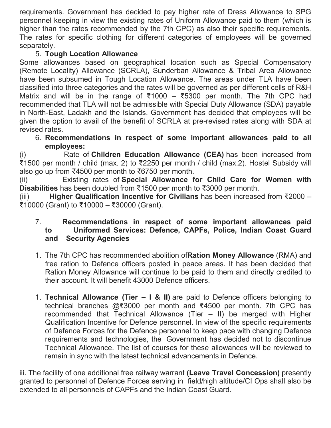requirements. Government has decided to pay higher rate of Dress Allowance to SPG personnel keeping in view the existing rates of Uniform Allowance paid to them (which is higher than the rates recommended by the 7th CPC) as also their specific requirements. The rates for specific clothing for different categories of employees will be governed separately.

# 5. **Tough Location Allowance**

Some allowances based on geographical location such as Special Compensatory (Remote Locality) Allowance (SCRLA), Sunderban Allowance & Tribal Area Allowance have been subsumed in Tough Location Allowance. The areas under TLA have been classified into three categories and the rates will be governed as per different cells of R&H Matrix and will be in the range of ₹1000 – ₹5300 per month. The 7th CPC had recommended that TLA will not be admissible with Special Duty Allowance (SDA) payable in North-East, Ladakh and the Islands. Government has decided that employees will be given the option to avail of the benefit of SCRLA at pre-revised rates along with SDA at revised rates.

6. **Recommendations in respect of some important allowances paid to all employees:**

(i) Rate of **Children Education Allowance (CEA)** has been increased from ₹1500 per month / child (max. 2) to ₹2250 per month / child (max.2). Hostel Subsidy will also go up from ₹4500 per month to ₹6750 per month.

(ii) Existing rates of **Special Allowance for Child Care for Women with Disabilities** has been doubled from ₹1500 per month to ₹3000 per month.

(iii) **Higher Qualification Incentive for Civilians** has been increased from ₹2000 – ₹10000 (Grant) to ₹10000 – ₹30000 (Grant).

- 7. **Recommendations in respect of some important allowances paid to Uniformed Services: Defence, CAPFs, Police, Indian Coast Guard and Security Agencies**
- 1. The 7th CPC has recommended abolition of**Ration Money Allowance** (RMA) and free ration to Defence officers posted in peace areas. It has been decided that Ration Money Allowance will continue to be paid to them and directly credited to their account. It will benefit 43000 Defence officers.
- 1. **Technical Allowance (Tier – I & II)** are paid to Defence officers belonging to technical branches @₹3000 per month and ₹4500 per month. 7th CPC has recommended that Technical Allowance (Tier – II) be merged with Higher Qualification Incentive for Defence personnel. In view of the specific requirements of Defence Forces for the Defence personnel to keep pace with changing Defence requirements and technologies, the Government has decided not to discontinue Technical Allowance. The list of courses for these allowances will be reviewed to remain in sync with the latest technical advancements in Defence.

iii. The facility of one additional free railway warrant **(Leave Travel Concession)** presently granted to personnel of Defence Forces serving in field/high altitude/CI Ops shall also be extended to all personnels of CAPFs and the Indian Coast Guard.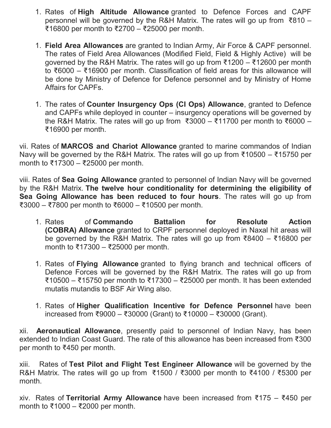- 1. Rates of **High Altitude Allowance** granted to Defence Forces and CAPF personnel will be governed by the R&H Matrix. The rates will go up from ₹810 – ₹16800 per month to ₹2700 – ₹25000 per month.
- 1. **Field Area Allowances** are granted to Indian Army, Air Force & CAPF personnel. The rates of Field Area Allowances (Modified Field, Field & Highly Active) will be governed by the R&H Matrix. The rates will go up from ₹1200 – ₹12600 per month to ₹6000 – ₹16900 per month. Classification of field areas for this allowance will be done by Ministry of Defence for Defence personnel and by Ministry of Home Affairs for CAPFs.
- 1. The rates of **Counter Insurgency Ops (CI Ops) Allowance**, granted to Defence and CAPFs while deployed in counter – insurgency operations will be governed by the R&H Matrix. The rates will go up from ₹3000 – ₹11700 per month to ₹6000 – ₹16900 per month.

vii. Rates of **MARCOS and Chariot Allowance** granted to marine commandos of Indian Navy will be governed by the R&H Matrix. The rates will go up from ₹10500 – ₹15750 per month to ₹17300 – ₹25000 per month.

viii. Rates of **Sea Going Allowance** granted to personnel of Indian Navy will be governed by the R&H Matrix. **The twelve hour conditionality for determining the eligibility of Sea Going Allowance has been reduced to four hours**. The rates will go up from ₹3000 – ₹7800 per month to ₹6000 – ₹10500 per month.

- 1. Rates of **Commando Battalion for Resolute Action (COBRA) Allowance** granted to CRPF personnel deployed in Naxal hit areas will be governed by the R&H Matrix. The rates will go up from ₹8400 – ₹16800 per month to ₹17300 – ₹25000 per month.
- 1. Rates of **Flying Allowance** granted to flying branch and technical officers of Defence Forces will be governed by the R&H Matrix. The rates will go up from ₹10500 – ₹15750 per month to ₹17300 – ₹25000 per month. It has been extended mutatis mutandis to BSF Air Wing also.
- 1. Rates of **Higher Qualification Incentive for Defence Personnel** have been increased from ₹9000 – ₹30000 (Grant) to ₹10000 – ₹30000 (Grant).

xii. **Aeronautical Allowance**, presently paid to personnel of Indian Navy, has been extended to Indian Coast Guard. The rate of this allowance has been increased from ₹300 per month to ₹450 per month.

xiii. Rates of **Test Pilot and Flight Test Engineer Allowance** will be governed by the R&H Matrix. The rates will go up from ₹1500 / ₹3000 per month to ₹4100 / ₹5300 per month.

xiv. Rates of **Territorial Army Allowance** have been increased from ₹175 – ₹450 per month to ₹1000 – ₹2000 per month.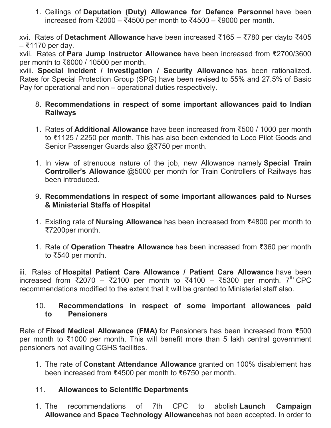1. Ceilings of **Deputation (Duty) Allowance for Defence Personnel** have been increased from ₹2000 – ₹4500 per month to ₹4500 – ₹9000 per month.

xvi. Rates of **Detachment Allowance** have been increased ₹165 – ₹780 per dayto ₹405 – ₹1170 per day.

xvii. Rates of **Para Jump Instructor Allowance** have been increased from ₹2700/3600 per month to ₹6000 / 10500 per month.

xviii. **Special Incident / Investigation / Security Allowance** has been rationalized. Rates for Special Protection Group (SPG) have been revised to 55% and 27.5% of Basic Pay for operational and non – operational duties respectively.

- 8. **Recommendations in respect of some important allowances paid to Indian Railways**
- 1. Rates of **Additional Allowance** have been increased from ₹500 / 1000 per month to ₹1125 / 2250 per month. This has also been extended to Loco Pilot Goods and Senior Passenger Guards also @₹750 per month.
- 1. In view of strenuous nature of the job, new Allowance namely **Special Train Controller's Allowance** @5000 per month for Train Controllers of Railways has been introduced.
- 9. **Recommendations in respect of some important allowances paid to Nurses & Ministerial Staffs of Hospital**
- 1. Existing rate of **Nursing Allowance** has been increased from ₹4800 per month to ₹7200per month.
- 1. Rate of **Operation Theatre Allowance** has been increased from ₹360 per month to ₹540 per month.

iii. Rates of **Hospital Patient Care Allowance / Patient Care Allowance** have been increased from ₹2070 – ₹2100 per month to ₹4100 – ₹5300 per month. 7<sup>th</sup> CPC recommendations modified to the extent that it will be granted to Ministerial staff also.

## 10. **Recommendations in respect of some important allowances paid to Pensioners**

Rate of **Fixed Medical Allowance (FMA)** for Pensioners has been increased from ₹500 per month to ₹1000 per month. This will benefit more than 5 lakh central government pensioners not availing CGHS facilities.

1. The rate of **Constant Attendance Allowance** granted on 100% disablement has been increased from ₹4500 per month to ₹6750 per month.

# 11. **Allowances to Scientific Departments**

1. The recommendations of 7th CPC to abolish **Launch Campaign Allowance** and **Space Technology Allowance**has not been accepted. In order to